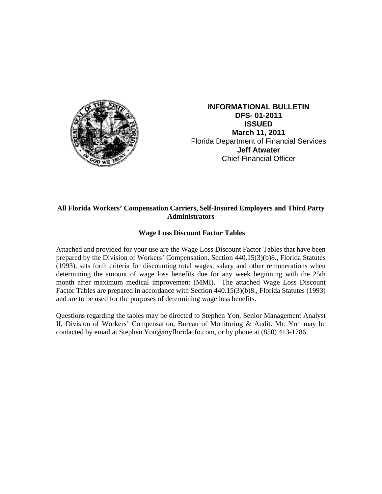

**INFORMATIONAL BULLETIN DFS- 01-2011 ISSUED March 11, 2011**  Florida Department of Financial Services **Jeff Atwater** Chief Financial Officer

## **All Florida Workers' Compensation Carriers, Self-Insured Employers and Third Party Administrators**

## **Wage Loss Discount Factor Tables**

Attached and provided for your use are the Wage Loss Discount Factor Tables that have been prepared by the Division of Workers' Compensation. Section 440.15(3)(b)8., Florida Statutes (1993), sets forth criteria for discounting total wages, salary and other remunerations when determining the amount of wage loss benefits due for any week beginning with the 25th month after maximum medical improvement (MMI). The attached Wage Loss Discount Factor Tables are prepared in accordance with Section 440.15(3)(b)8., Florida Statutes (1993) and are to be used for the purposes of determining wage loss benefits.

Questions regarding the tables may be directed to Stephen Yon, Senior Management Analyst II, Division of Workers' Compensation, Bureau of Monitoring & Audit. Mr. Yon may be contacted by email at Stephen.Yon@myfloridacfo.com, or by phone at (850) 413-1786.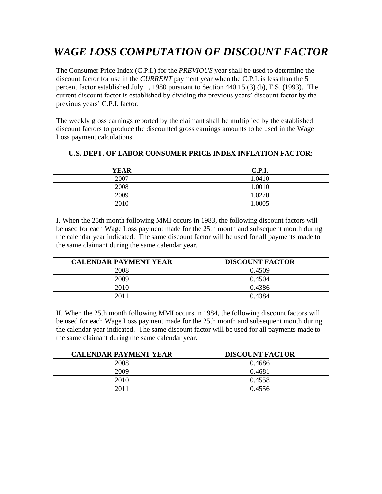## *WAGE LOSS COMPUTATION OF DISCOUNT FACTOR*

The Consumer Price Index (C.P.I.) for the *PREVIOUS* year shall be used to determine the discount factor for use in the *CURRENT* payment year when the C.P.I. is less than the 5 percent factor established July 1, 1980 pursuant to Section 440.15 (3) (b), F.S. (1993). The current discount factor is established by dividing the previous years' discount factor by the previous years' C.P.I. factor.

The weekly gross earnings reported by the claimant shall be multiplied by the established discount factors to produce the discounted gross earnings amounts to be used in the Wage Loss payment calculations.

| <b>YEAR</b> | <b>C.P.I.</b> |
|-------------|---------------|
| 2007        | 1.0410        |
| 2008        | 1.0010        |
| 2009        | 1.0270        |
| 2010        | 1.0005        |

## **U.S. DEPT. OF LABOR CONSUMER PRICE INDEX INFLATION FACTOR:**

I. When the 25th month following MMI occurs in 1983, the following discount factors will be used for each Wage Loss payment made for the 25th month and subsequent month during the calendar year indicated. The same discount factor will be used for all payments made to the same claimant during the same calendar year.

| <b>CALENDAR PAYMENT YEAR</b> | <b>DISCOUNT FACTOR</b> |
|------------------------------|------------------------|
| 2008                         | 0.4509                 |
| 2009                         | 0.4504                 |
| 2010                         | 0.4386                 |
|                              | 0.4384                 |

II. When the 25th month following MMI occurs in 1984, the following discount factors will be used for each Wage Loss payment made for the 25th month and subsequent month during the calendar year indicated. The same discount factor will be used for all payments made to the same claimant during the same calendar year.

| <b>CALENDAR PAYMENT YEAR</b> | <b>DISCOUNT FACTOR</b> |
|------------------------------|------------------------|
| 2008                         | 0.4686                 |
| 2009                         | 0.4681                 |
| 2010                         | 0.4558                 |
| 2011                         | 0.4556                 |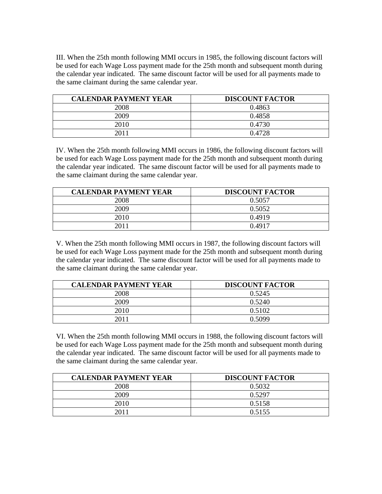III. When the 25th month following MMI occurs in 1985, the following discount factors will be used for each Wage Loss payment made for the 25th month and subsequent month during the calendar year indicated. The same discount factor will be used for all payments made to the same claimant during the same calendar year.

| <b>CALENDAR PAYMENT YEAR</b> | <b>DISCOUNT FACTOR</b> |
|------------------------------|------------------------|
| 2008                         | 0.4863                 |
| 2009                         | 0.4858                 |
| 2010                         | 0.4730                 |
|                              | 0.4728                 |

IV. When the 25th month following MMI occurs in 1986, the following discount factors will be used for each Wage Loss payment made for the 25th month and subsequent month during the calendar year indicated. The same discount factor will be used for all payments made to the same claimant during the same calendar year.

| <b>CALENDAR PAYMENT YEAR</b> | <b>DISCOUNT FACTOR</b> |
|------------------------------|------------------------|
| 2008                         | 0.5057                 |
| 2009                         | 0.5052                 |
| 2010                         | 0.4919                 |
| ว∩1∶                         | 0.4917                 |

V. When the 25th month following MMI occurs in 1987, the following discount factors will be used for each Wage Loss payment made for the 25th month and subsequent month during the calendar year indicated. The same discount factor will be used for all payments made to the same claimant during the same calendar year.

| <b>CALENDAR PAYMENT YEAR</b> | <b>DISCOUNT FACTOR</b> |
|------------------------------|------------------------|
| 2008                         | 0.5245                 |
| 2009                         | 0.5240                 |
| 2010                         | 0.5102                 |
| 2011                         | 0.5099                 |

VI. When the 25th month following MMI occurs in 1988, the following discount factors will be used for each Wage Loss payment made for the 25th month and subsequent month during the calendar year indicated. The same discount factor will be used for all payments made to the same claimant during the same calendar year.

| <b>CALENDAR PAYMENT YEAR</b> | <b>DISCOUNT FACTOR</b> |
|------------------------------|------------------------|
| 2008                         | 0.5032                 |
| 2009                         | 0.5297                 |
| 2010                         | 0.5158                 |
|                              | 0.5155                 |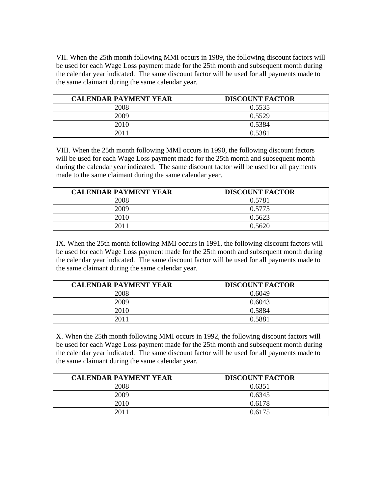VII. When the 25th month following MMI occurs in 1989, the following discount factors will be used for each Wage Loss payment made for the 25th month and subsequent month during the calendar year indicated. The same discount factor will be used for all payments made to the same claimant during the same calendar year.

| <b>CALENDAR PAYMENT YEAR</b> | <b>DISCOUNT FACTOR</b> |
|------------------------------|------------------------|
| 2008                         | 0.5535                 |
| 2009                         | 0.5529                 |
| 2010                         | 0.5384                 |
|                              | 0.5381                 |

VIII. When the 25th month following MMI occurs in 1990, the following discount factors will be used for each Wage Loss payment made for the 25th month and subsequent month during the calendar year indicated. The same discount factor will be used for all payments made to the same claimant during the same calendar year.

| <b>CALENDAR PAYMENT YEAR</b> | <b>DISCOUNT FACTOR</b> |
|------------------------------|------------------------|
| 2008                         | 0.5781                 |
| 2009                         | 0.5775                 |
| 2010                         | 0.5623                 |
|                              | 0.5620                 |

IX. When the 25th month following MMI occurs in 1991, the following discount factors will be used for each Wage Loss payment made for the 25th month and subsequent month during the calendar year indicated. The same discount factor will be used for all payments made to the same claimant during the same calendar year.

| <b>CALENDAR PAYMENT YEAR</b> | <b>DISCOUNT FACTOR</b> |
|------------------------------|------------------------|
| 2008                         | 0.6049                 |
| 2009                         | 0.6043                 |
| 2010                         | 0.5884                 |
| 2011                         | 0.5881                 |

X. When the 25th month following MMI occurs in 1992, the following discount factors will be used for each Wage Loss payment made for the 25th month and subsequent month during the calendar year indicated. The same discount factor will be used for all payments made to the same claimant during the same calendar year.

| <b>CALENDAR PAYMENT YEAR</b> | <b>DISCOUNT FACTOR</b> |
|------------------------------|------------------------|
| 2008                         | 0.6351                 |
| 2009                         | 0.6345                 |
| 2010                         | 0.6178                 |
|                              | 0.6175                 |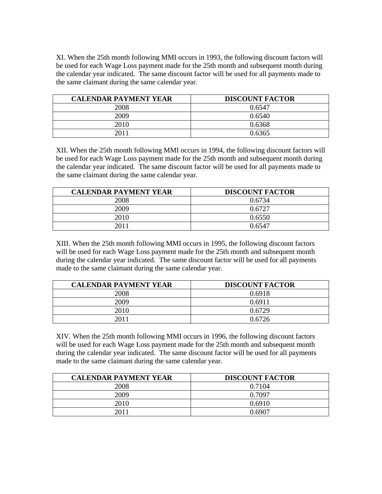XI. When the 25th month following MMI occurs in 1993, the following discount factors will be used for each Wage Loss payment made for the 25th month and subsequent month during the calendar year indicated. The same discount factor will be used for all payments made to the same claimant during the same calendar year.

| <b>CALENDAR PAYMENT YEAR</b> | <b>DISCOUNT FACTOR</b> |
|------------------------------|------------------------|
| 2008                         | 0.6547                 |
| 2009                         | 0.6540                 |
| 2010                         | 0.6368                 |
|                              | 0.6365                 |

XII. When the 25th month following MMI occurs in 1994, the following discount factors will be used for each Wage Loss payment made for the 25th month and subsequent month during the calendar year indicated. The same discount factor will be used for all payments made to the same claimant during the same calendar year.

| <b>CALENDAR PAYMENT YEAR</b> | <b>DISCOUNT FACTOR</b> |
|------------------------------|------------------------|
| 2008                         | 0.6734                 |
| 2009                         | 0.6727                 |
| 2010                         | 0.6550                 |
| ንበ11                         | 0.6547                 |

XIII. When the 25th month following MMI occurs in 1995, the following discount factors will be used for each Wage Loss payment made for the 25th month and subsequent month during the calendar year indicated. The same discount factor will be used for all payments made to the same claimant during the same calendar year.

| <b>CALENDAR PAYMENT YEAR</b> | <b>DISCOUNT FACTOR</b> |
|------------------------------|------------------------|
| 2008                         | 0.6918                 |
| 2009                         | 0.6911                 |
| 2010                         | 0.6729                 |
| 2011                         | 0.6726                 |

XIV. When the 25th month following MMI occurs in 1996, the following discount factors will be used for each Wage Loss payment made for the 25th month and subsequent month during the calendar year indicated. The same discount factor will be used for all payments made to the same claimant during the same calendar year.

| <b>CALENDAR PAYMENT YEAR</b> | <b>DISCOUNT FACTOR</b> |
|------------------------------|------------------------|
| 2008                         | 0.7104                 |
| 2009                         | 0.7097                 |
| 2010                         | 0.6910                 |
| 201 î                        | በ 6907                 |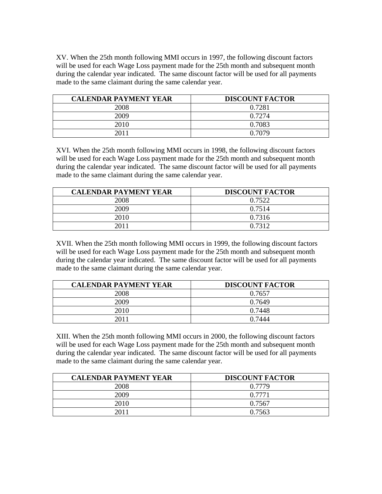XV. When the 25th month following MMI occurs in 1997, the following discount factors will be used for each Wage Loss payment made for the 25th month and subsequent month during the calendar year indicated. The same discount factor will be used for all payments made to the same claimant during the same calendar year.

| <b>CALENDAR PAYMENT YEAR</b> | <b>DISCOUNT FACTOR</b> |
|------------------------------|------------------------|
| 2008                         | 0.7281                 |
| 2009                         | 0.7274                 |
| 2010                         | 0.7083                 |
|                              | 0.7079                 |

XVI. When the 25th month following MMI occurs in 1998, the following discount factors will be used for each Wage Loss payment made for the 25th month and subsequent month during the calendar year indicated. The same discount factor will be used for all payments made to the same claimant during the same calendar year.

| <b>CALENDAR PAYMENT YEAR</b> | <b>DISCOUNT FACTOR</b> |
|------------------------------|------------------------|
| 2008                         | 0.7522                 |
| 2009                         | 0.7514                 |
| 2010                         | 0.7316                 |
|                              | 0.7312                 |

XVII. When the 25th month following MMI occurs in 1999, the following discount factors will be used for each Wage Loss payment made for the 25th month and subsequent month during the calendar year indicated. The same discount factor will be used for all payments made to the same claimant during the same calendar year.

| <b>CALENDAR PAYMENT YEAR</b> | <b>DISCOUNT FACTOR</b> |
|------------------------------|------------------------|
| 2008                         | 0.7657                 |
| 2009                         | 0.7649                 |
| 2010                         | 0.7448                 |
| 2011                         | 0.7444                 |

XIII. When the 25th month following MMI occurs in 2000, the following discount factors will be used for each Wage Loss payment made for the 25th month and subsequent month during the calendar year indicated. The same discount factor will be used for all payments made to the same claimant during the same calendar year.

| <b>CALENDAR PAYMENT YEAR</b> | <b>DISCOUNT FACTOR</b> |
|------------------------------|------------------------|
| 2008                         | 0.7779                 |
| 2009                         | 0.7771                 |
| 2010                         | 0.7567                 |
| 201 i                        | 0.7563                 |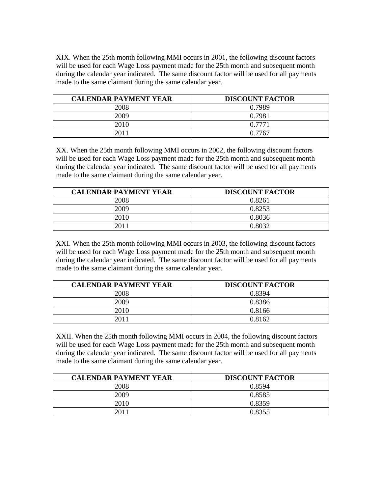XIX. When the 25th month following MMI occurs in 2001, the following discount factors will be used for each Wage Loss payment made for the 25th month and subsequent month during the calendar year indicated. The same discount factor will be used for all payments made to the same claimant during the same calendar year.

| <b>CALENDAR PAYMENT YEAR</b> | <b>DISCOUNT FACTOR</b> |
|------------------------------|------------------------|
| 2008                         | 0.7989                 |
| 2009                         | 0.7981                 |
| 2010                         | 0.7771                 |
| 2011                         | 0.7767                 |

XX. When the 25th month following MMI occurs in 2002, the following discount factors will be used for each Wage Loss payment made for the 25th month and subsequent month during the calendar year indicated. The same discount factor will be used for all payments made to the same claimant during the same calendar year.

| <b>CALENDAR PAYMENT YEAR</b> | <b>DISCOUNT FACTOR</b> |
|------------------------------|------------------------|
| 2008                         | 0.8261                 |
| 2009                         | 0.8253                 |
| 2010                         | 0.8036                 |
|                              | በ Ջበ32                 |

XXI. When the 25th month following MMI occurs in 2003, the following discount factors will be used for each Wage Loss payment made for the 25th month and subsequent month during the calendar year indicated. The same discount factor will be used for all payments made to the same claimant during the same calendar year.

| <b>CALENDAR PAYMENT YEAR</b> | <b>DISCOUNT FACTOR</b> |
|------------------------------|------------------------|
| 2008                         | 0.8394                 |
| 2009                         | 0.8386                 |
| 2010                         | 0.8166                 |
| 2011                         | 0.8162                 |

XXII. When the 25th month following MMI occurs in 2004, the following discount factors will be used for each Wage Loss payment made for the 25th month and subsequent month during the calendar year indicated. The same discount factor will be used for all payments made to the same claimant during the same calendar year.

| <b>CALENDAR PAYMENT YEAR</b> | <b>DISCOUNT FACTOR</b> |
|------------------------------|------------------------|
| 2008                         | 0.8594                 |
| 2009                         | 0.8585                 |
| 2010                         | 0.8359                 |
| 201.                         | 0.8355                 |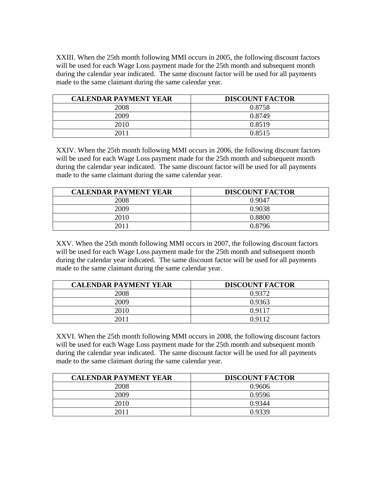XXIII. When the 25th month following MMI occurs in 2005, the following discount factors will be used for each Wage Loss payment made for the 25th month and subsequent month during the calendar year indicated. The same discount factor will be used for all payments made to the same claimant during the same calendar year.

| <b>CALENDAR PAYMENT YEAR</b> | <b>DISCOUNT FACTOR</b> |
|------------------------------|------------------------|
| 2008                         | 0.8758                 |
| 2009                         | 0.8749                 |
| 2010                         | 0.8519                 |
| 2011                         | 0.8515                 |

XXIV. When the 25th month following MMI occurs in 2006, the following discount factors will be used for each Wage Loss payment made for the 25th month and subsequent month during the calendar year indicated. The same discount factor will be used for all payments made to the same claimant during the same calendar year.

| <b>CALENDAR PAYMENT YEAR</b> | <b>DISCOUNT FACTOR</b> |
|------------------------------|------------------------|
| 2008                         | 0.9047                 |
| 2009                         | 0.9038                 |
| 2010                         | 0.8800                 |
| 2011                         | 0.8796                 |

XXV. When the 25th month following MMI occurs in 2007, the following discount factors will be used for each Wage Loss payment made for the 25th month and subsequent month during the calendar year indicated. The same discount factor will be used for all payments made to the same claimant during the same calendar year.

| <b>CALENDAR PAYMENT YEAR</b> | <b>DISCOUNT FACTOR</b> |
|------------------------------|------------------------|
| 2008                         | 0.9372                 |
| 2009                         | 0.9363                 |
| 2010                         | 0.9117                 |
| 2011                         | 0.9112                 |

XXVI. When the 25th month following MMI occurs in 2008, the following discount factors will be used for each Wage Loss payment made for the 25th month and subsequent month during the calendar year indicated. The same discount factor will be used for all payments made to the same claimant during the same calendar year.

| <b>CALENDAR PAYMENT YEAR</b> | <b>DISCOUNT FACTOR</b> |
|------------------------------|------------------------|
| 2008                         | 0.9606                 |
| 2009                         | 0.9596                 |
| 2010                         | 0.9344                 |
| 2011                         | 0.9339                 |